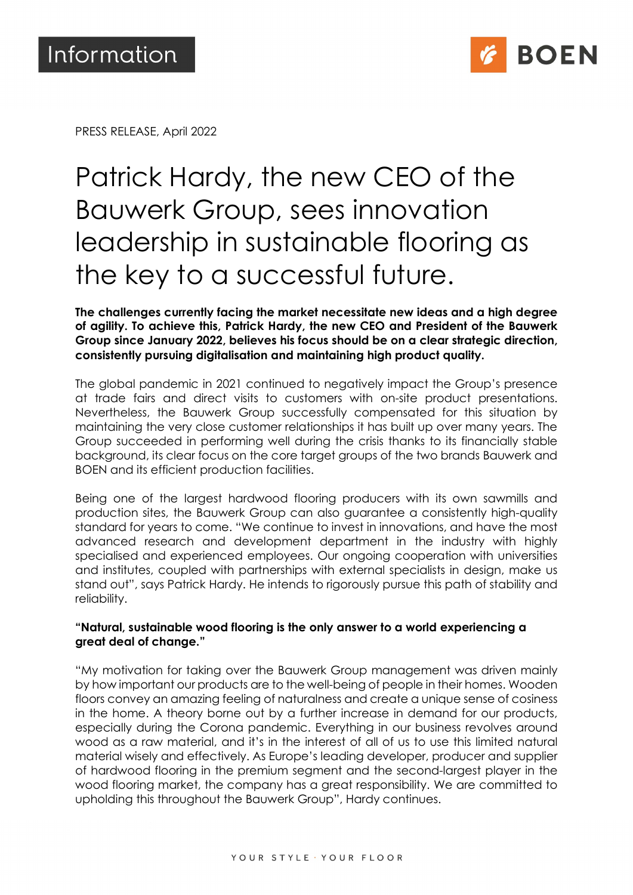

PRESS RELEASE, April 2022

# Patrick Hardy, the new CEO of the Bauwerk Group, sees innovation leadership in sustainable flooring as the key to a successful future.

The challenges currently facing the market necessitate new ideas and a high degree of agility. To achieve this, Patrick Hardy, the new CEO and President of the Bauwerk Group since January 2022, believes his focus should be on a clear strategic direction, consistently pursuing digitalisation and maintaining high product quality.

The global pandemic in 2021 continued to negatively impact the Group's presence at trade fairs and direct visits to customers with on-site product presentations. Nevertheless, the Bauwerk Group successfully compensated for this situation by maintaining the very close customer relationships it has built up over many years. The Group succeeded in performing well during the crisis thanks to its financially stable background, its clear focus on the core target groups of the two brands Bauwerk and BOEN and its efficient production facilities.

Being one of the largest hardwood flooring producers with its own sawmills and production sites, the Bauwerk Group can also guarantee a consistently high-quality standard for years to come. "We continue to invest in innovations, and have the most advanced research and development department in the industry with highly specialised and experienced employees. Our ongoing cooperation with universities and institutes, coupled with partnerships with external specialists in design, make us stand out", says Patrick Hardy. He intends to rigorously pursue this path of stability and reliability.

## "Natural, sustainable wood flooring is the only answer to a world experiencing a great deal of change."

"My motivation for taking over the Bauwerk Group management was driven mainly by how important our products are to the well-being of people in their homes. Wooden floors convey an amazing feeling of naturalness and create a unique sense of cosiness in the home. A theory borne out by a further increase in demand for our products, especially during the Corona pandemic. Everything in our business revolves around wood as a raw material, and it's in the interest of all of us to use this limited natural material wisely and effectively. As Europe's leading developer, producer and supplier of hardwood flooring in the premium segment and the second-largest player in the wood flooring market, the company has a great responsibility. We are committed to upholding this throughout the Bauwerk Group", Hardy continues.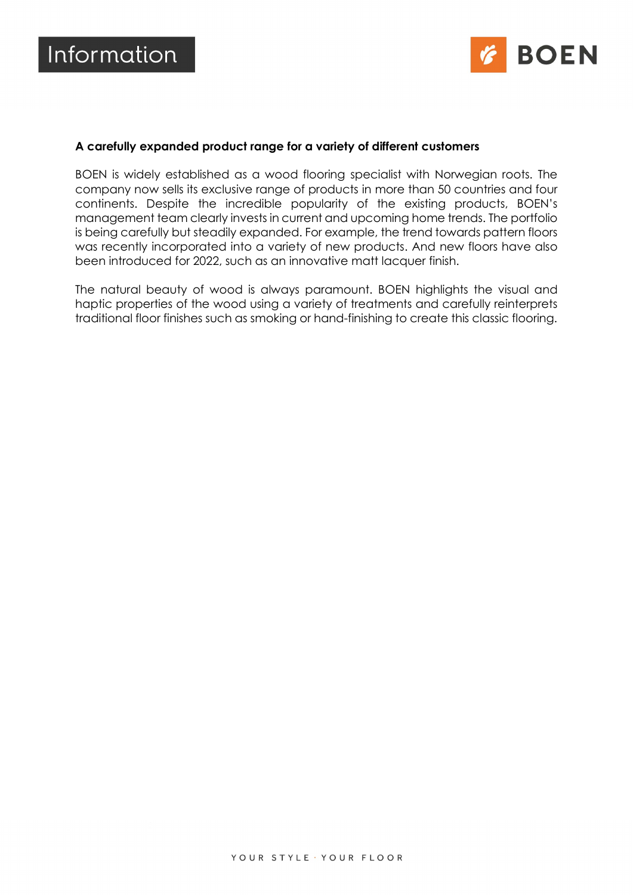

#### A carefully expanded product range for a variety of different customers

BOEN is widely established as a wood flooring specialist with Norwegian roots. The company now sells its exclusive range of products in more than 50 countries and four continents. Despite the incredible popularity of the existing products, BOEN's management team clearly invests in current and upcoming home trends. The portfolio is being carefully but steadily expanded. For example, the trend towards pattern floors was recently incorporated into a variety of new products. And new floors have also been introduced for 2022, such as an innovative matt lacquer finish.

The natural beauty of wood is always paramount. BOEN highlights the visual and haptic properties of the wood using a variety of treatments and carefully reinterprets traditional floor finishes such as smoking or hand-finishing to create this classic flooring.